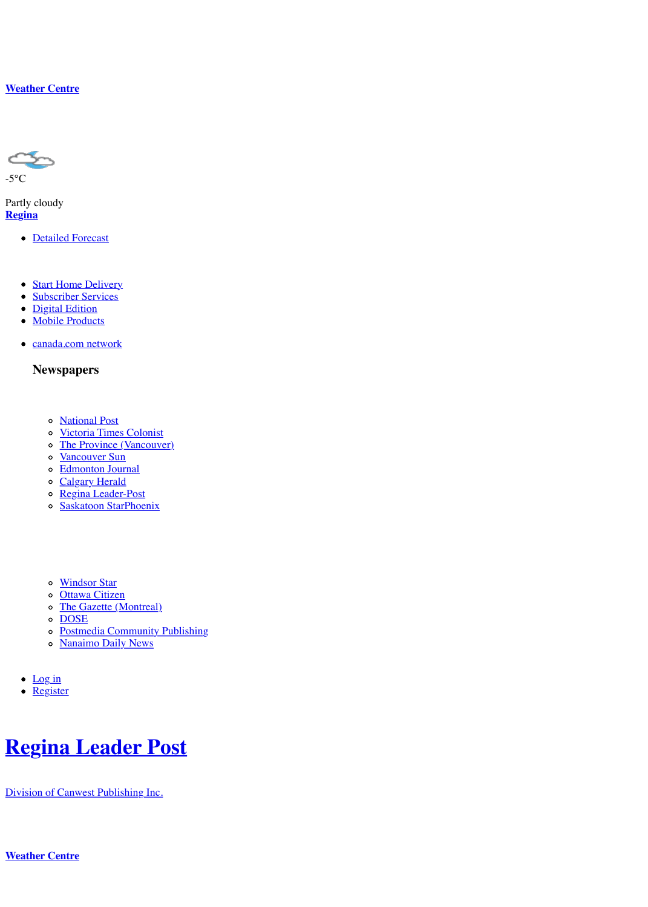#### **Newspapers**

- National Post
- Victoria Times Colonist
- The Province (Vancouver)
- [Vancouver Sun](http://web.archive.org/web/20111229025013/http://www.leaderpost.com/findit/weather/)
- Edmonton Journal
- Calgary Herald
- Regina Leader-Post
- o Saskatoon StarPhoenix

- Windsor Star
- o Ottawa Citizen
- o [The Gazette](http://web.archive.org/web/20111229025013/http://www.leaderpost.com/weather/index.html?city=regina&rg=sk) (Montreal)
- o DOSE
- Postmedia Community Publishing
- o [Nanaimo Daily](http://web.archive.org/web/20111229025013/https://contests.canada.com/reginaleaderpost/subscribe/index.html) News
- $\bullet$  [Log in](http://web.archive.org/web/20111229025013/http://digital.leaderpost.com/)
- [Register](http://web.archive.org/web/20111229025013/http://www.leaderpost.com/mobile-site/index.html)

# **Regina Leader Post**

Division of [Canwest Publi](http://web.archive.org/web/20111229025013/http://www.nationalpost.com/)[shing Inc.](http://web.archive.org/web/20111229025013/http://www.timescolonist.com/)

**Weather C[entre](http://web.archive.org/web/20111229025013/http://www.calgaryherald.com/)**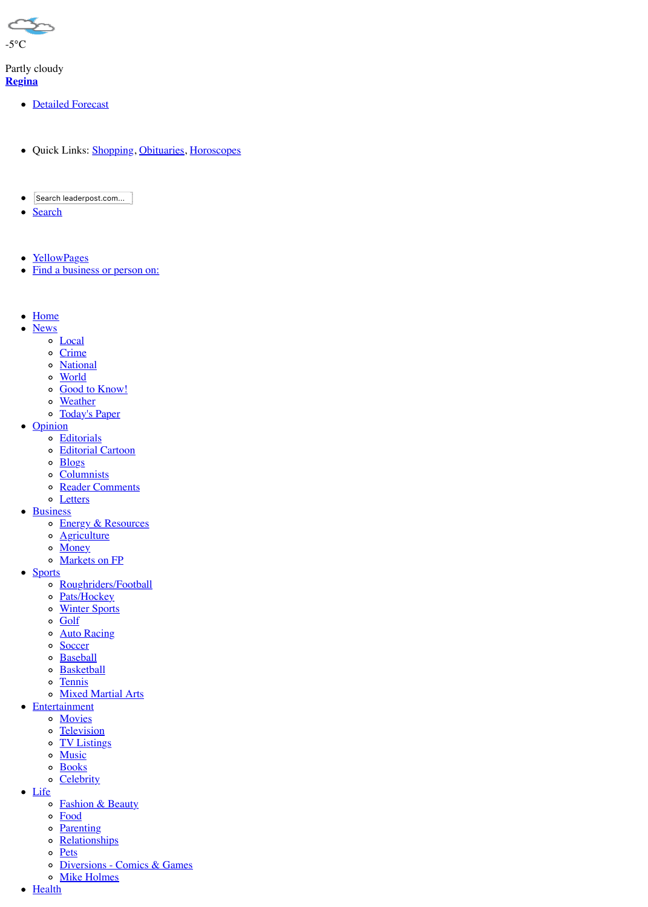- o World
- o Good to Know!
- o Weather
- o Today's Paper
- Opinion
	- o Editorials
	- o Editorial Cartoon
	- o Blogs
	- o Columnists
	- o Reader Comments
	- **o** Letters
- Business
	- **o** Energy & Resources
	- o Agriculture
	- o Money
	- o Markets on FP
- Sports
	- o Roughriders/Football
	- o Pats/Hockey
	- o Winter Sports
	- o Golf
	- o Auto Racing
	- o Soccer
	- o Baseball
	- o Basketball
	- o Tennis
	- o Mixed Martial Arts
- Entertainment
	- o Movies
	- o Television
	- o TV Listings
	- o Music
	- o Books
	- o Celebrity
- Life
	- **o** Fashion & Beauty
	- o Food
	- o Parenting
	- o Relationships
	- o Pets
	- o Diversions Comics & Games
	- o Mike Holmes
- Health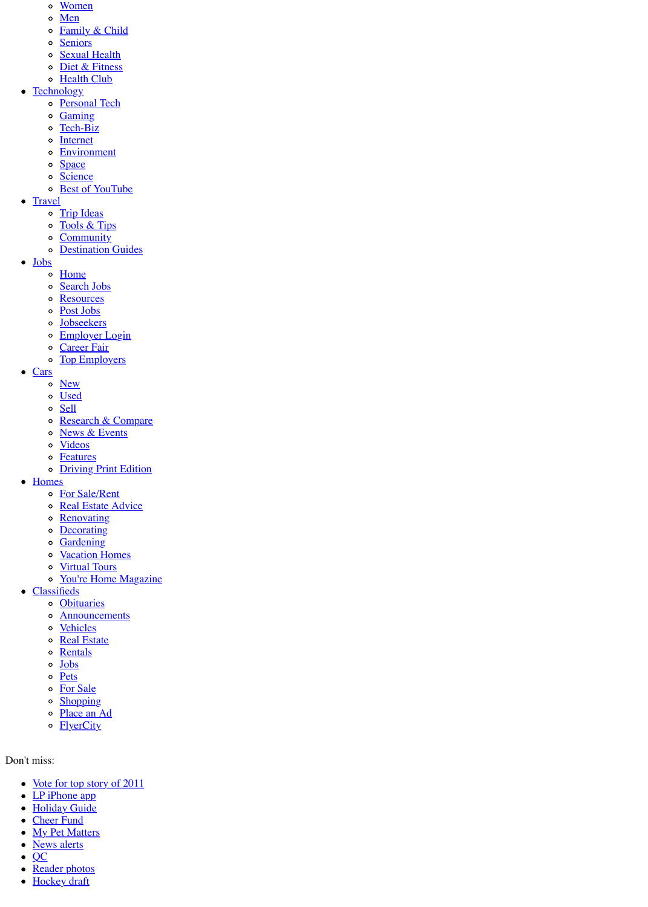- <u>Cars</u>
	- o New
	- o Used
	- o Sell
	- o Research & Compare
	- o News & Events
	- o Videos
	- o Features
	- **o** Driving Print Edition
- Homes
	- o For Sale/Rent
	- o Real Estate Advice
	- o Renovating
	- o Decorating
	- o Gardening
	- o Vacation Homes
	- o Virtual Tours
	- o You're Home Magazine
- Classifieds
	- o Obituaries
	- **o** Announcements
	- o Vehicles
	- o Real Estate
	- o Rentals
	- o Jobs
	- o Pets
	- o For Sale
	- o Shopping
	- o Place an Ad
	- o FlyerCity
- Don't miss:
	- Vote for top story of 2011
	- $\bullet$  LP iPhone app
	- · Holiday Guide
	- Cheer Fund
	- My Pet Matters
	- News alerts
	- $\bullet$  QC
	- Reader photos
	- **Hockey** draft  $\bullet$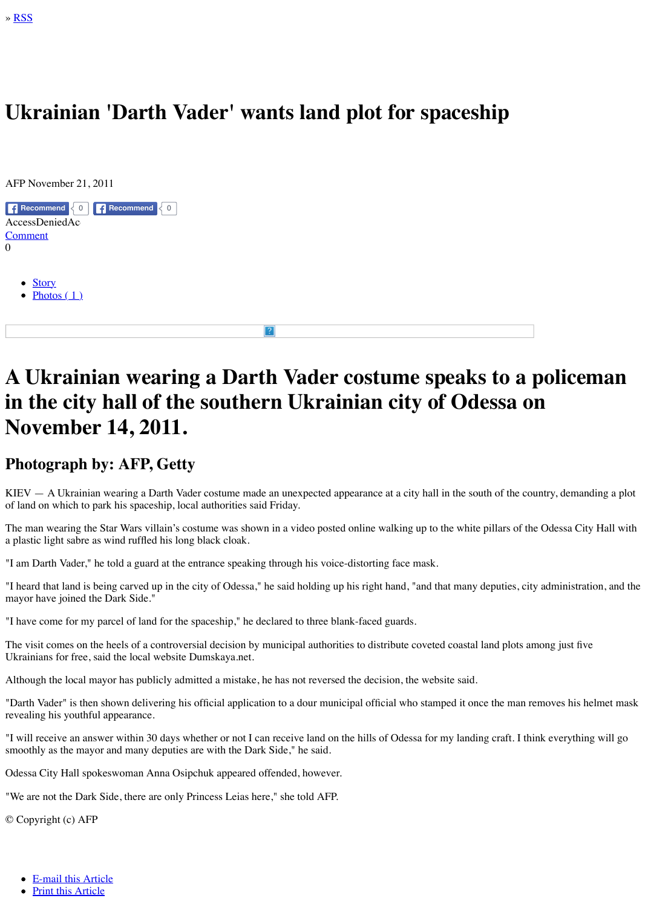### **[A U](http://web.archive.org/web/20111229025013/http://www.leaderpost.com/974350.ATOM)krainian wearing a Darth Vader costume speaks to a policeman in the city hall of the southern Ukrainian city November 14, 2011.**

### **Photograph by: AFP, Getty**

 $KIEV - A Ukrainian wearing a Darth Vader costume made an unexpected appearance at a cit$ of land on which to park his spaceship, local authorities said Friday.

The man wearing the Star Wars villain's costume was shown in a video posted online walking a plastic light sabre as wind ruffled his long black cloak.

"I am Darth Vader," he told a guard at the entrance speaking through his voice-distorting face in

"I heard that land is being carved up in the city of Odessa," he said holding up his right hand, ' [mayor hav](javascript:jumpToAnchor()e joined the Dark Side."

"I have come for my parcel of land for the spaceship," he declared to three blank-faced guards.

The visit comes on the heels of a controversial decision by municipal authorities to distribute or Ukrai[nians for free](javascript:void(0);), said the local website Dumskaya.net.

Although the local mayor has publicly admitted a mistake, he has not reversed the decision, the

"Darth Vader" is then shown delivering his official application to a dour municipal official who revealing his youthful appearance.

"I will receive an answer within 30 days whether or not I can receive land on the hills of Odess smoothly as the mayor and many deputies are with the Dark Side," he said.

Odessa City Hall spokeswoman Anna Osipchuk appeared offended, however.

"We are not the Dark Side, there are only Princess Leias here," she told AFP.

© Copyright (c) AFP

- E-mail this Article
- Print this Article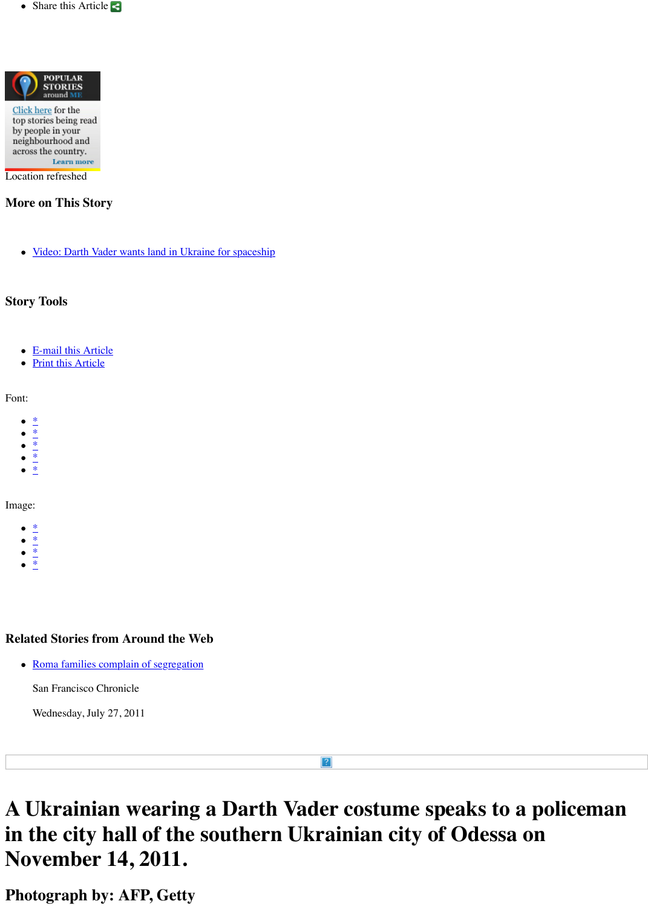Font:

- \*
- \*
- \*
- \*
- \*

[Image:](javascript:show_geo_stories();)

- \*
- [\\*](javascript:geolb.mask(jQuery()
- \*
- \*

### **Related Stories from Around the Web**

• Roma families complain of segregation

San Francisco Chronicle

Wednesday, July 27, 2011

# **A [U](javascript:setStoryFontSize()krainian wearing a Darth Vader costume in [th](javascript:setStoryFontSize()e city hall of the southern Ukrainian city November 14, 2011.**

 $\left| \cdot \right\rangle$ 

**Ph[ot](javascript:setClass()ograph by: AFP, Getty**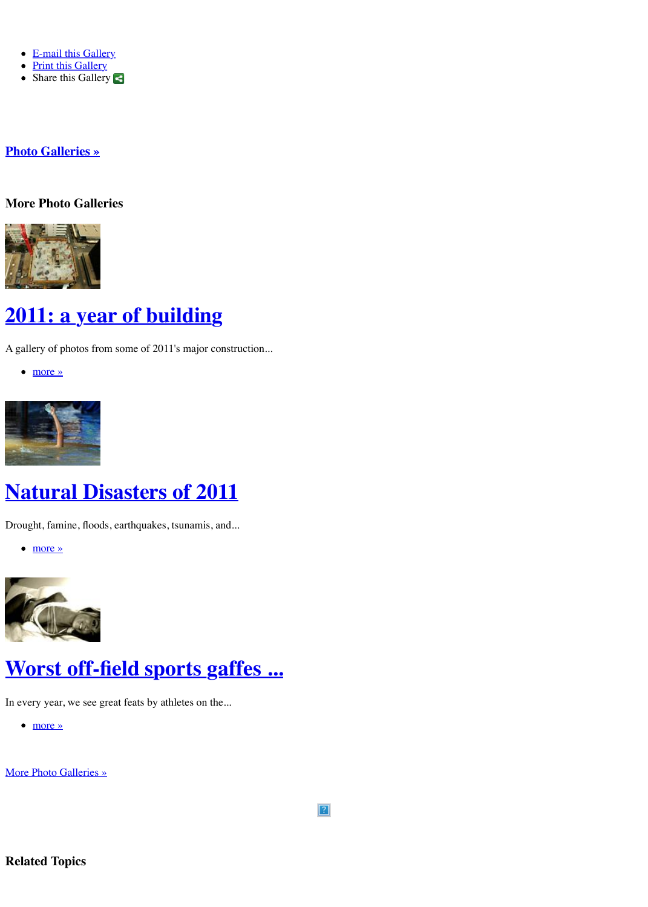



# **Natural Disasters of 2011**

[Drought, famine, flood](http://web.archive.org/web/20111229025013/http://www.leaderpost.com/news/photos/index.html)s, earthquakes, tsunamis, and...

more »



# **[Worst off-field sports ga](http://web.archive.org/web/20111229025013/http://www.leaderpost.com/news/2011+year+building/5919941/story.html)ffes ...**

In every year, we see great feats by athletes on the...

more »

[More Photo Galleries](http://web.archive.org/web/20111229025013/http://www.leaderpost.com/news/Natural+Disasters+2011/5919751/story.html) »

 $\sqrt{2}$ 

**[Related Topics](http://web.archive.org/web/20111229025013/http://www.leaderpost.com/news/Natural+Disasters+2011/5919751/story.html)**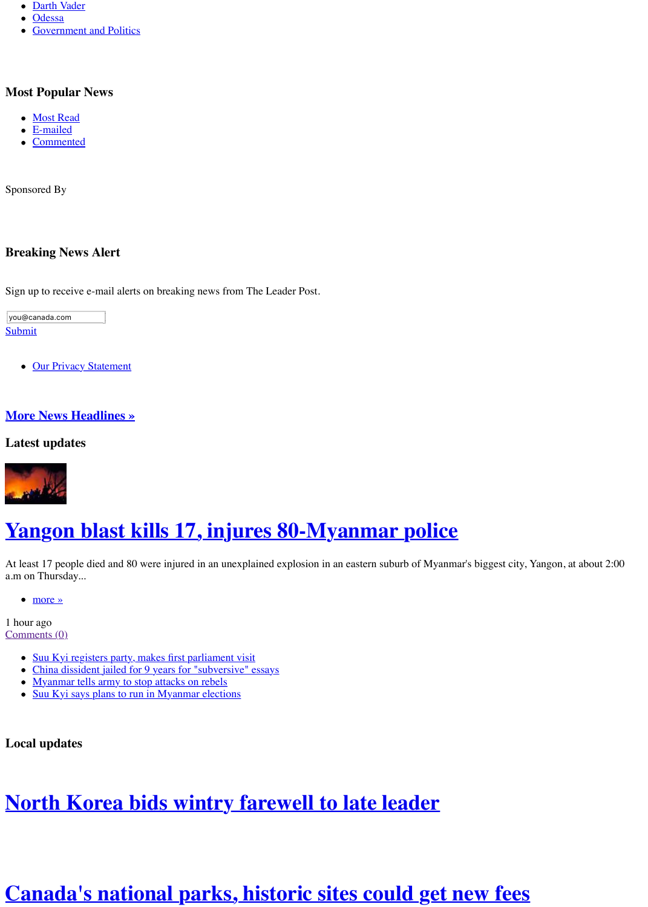### **More News Headlines »**

<u>over the statement of the statement of the statement of the statement of the statement of the statement of the </u>

### **Latest updates**



# <u>Yangon blast kills 17, injures 80-Myanmar p</u>

At least 17 people died and 80 were injured in an unexplained explosion in an eastern suburb of At least city, Yangon, and Myanmar, At about 2:000  $\mu$ a.m on Thursday...

more »

1 hour ago Comments (0)

- Suu Kyi registers party, makes first parliament visit
- China dissident jailed for 9 years for "subversive" essays
- Myanmar tells army to stop attacks on rebels
- [S](javascript:void(1);)uu Kyi says plans to run in Myanmar elections

**Local updates**

### **North Korea bids wintry farewell to late lead**

## **Canada's national parks, historic sites could**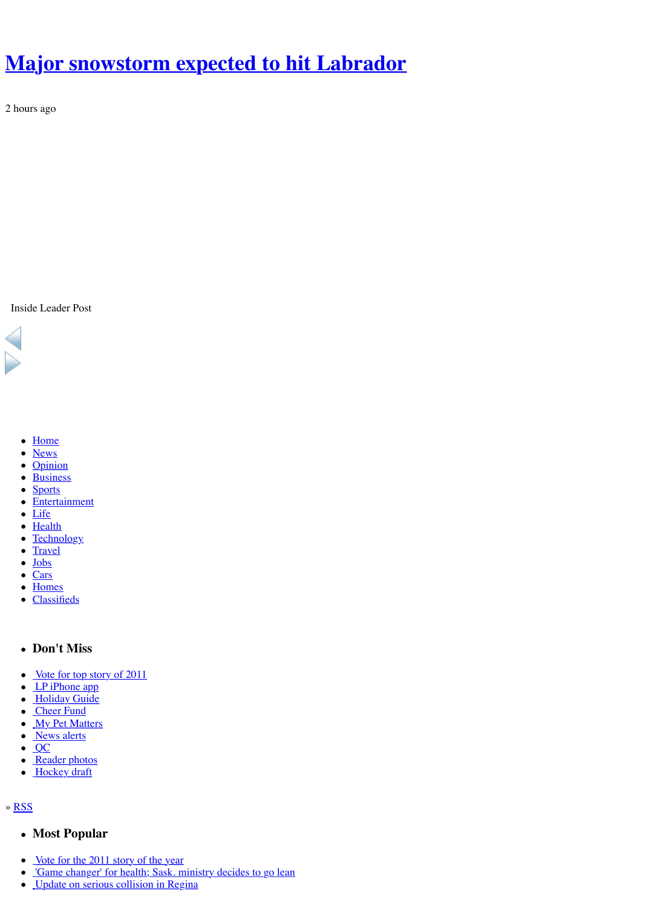• [Home](http://web.archive.org/web/20111229025013/http://www.leaderpost.com/news/Major+snowstorm+expected+Labrador/5915130/story.html)

×

- News
- Opinion
- **Business**  $\bullet$
- Sports
- Entertainment
- Life
- Health
- **Technology**  $\bullet$
- **Travel**  $\bullet$
- Jobs  $\bullet$
- Cars
- **Homes**  $\bullet$
- Classifieds
- **Don't Miss**
- Vote for top story of 2011
- LP iPhone app
- Holiday Guide
- Cheer Fund
- My Pet Matters
- News alerts
- $QC$  $\bullet$
- Reader photos  $\bullet$
- Hockey draft

#### » RS[S](http://web.archive.org/web/20111229025013/http://www.leaderpost.com/index.html)

- **[Most P](http://web.archive.org/web/20111229025013/http://www.leaderpost.com/opinion/index.html)opular**
- [Vote f](http://web.archive.org/web/20111229025013/http://www.leaderpost.com/sports/index.html)or the 2011 story of the year
- ['Game change](http://web.archive.org/web/20111229025013/http://www.leaderpost.com/entertainment/index.html)r' for health; Sask. ministry decides to go lean
- [Upd](http://web.archive.org/web/20111229025013/http://www.leaderpost.com/life/index.html)[at](http://web.archive.org/web/20111229025013/http://www.leaderpost.com/health/index.html)e on serious collision in Regina $\bullet$